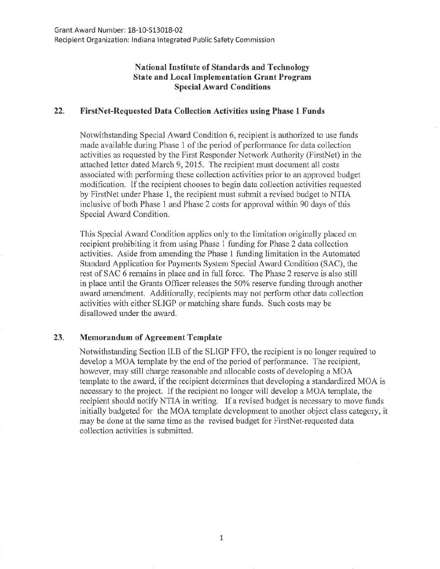## **National Institute of Standards and Technology State and Local Implementation Grant Program Special Award Conditions**

## **22. FirstNet-Requested Data Collection Activities using Phase 1 Funds**

Notwithstanding Special Award Condition 6, recipient is authorized to use funds made available during Phase 1 of the period of performance for data collection activities as requested by the First Responder Network Authority (FirstNet) in the attached letter dated March 9, 2015. The recipient must document all costs associated with performing these collection activities prior to an approved budget modification. If the recipient chooses to begin data collection activities requested by FirstNet under Phase 1, the recipient must submit a revised budget to NTIA inclusive of both Phase 1 and Phase 2 costs for approval within 90 days of this Special Award Condition.

This Special Award Condition applies only to the limitation originally placed on recipient prohibiting it from using Phase 1 funding for Phase 2 data collection activities. Aside from amending the Phase 1 funding limitation in the Automated Standard Application for Payments System Special Award Condition (SAC), the rest of SAC 6 remains in place and in full force. The Phase 2 reserve is also still in place until the Grants Officer releases the 50% reserve funding through another award amendment. Additionally, recipients may not perform other data collection activities with either SLIGP or matching share funds. Such costs may be disallowed under the award.

## 23. **Memorandum of Agreement Template**

Notwithstanding Section II.B of the SLIGP FFO, the recipient is no longer required to develop a MOA template by the end of the period of performance. The recipient, however, may still charge reasonable and allocable costs of developing a MOA template to the award, if the recipient determines that developing a standardized MOA is necessary to the project. If the recipient no longer will develop a MOA template, the recipient should notify NTIA in writing. If a revised budget is necessary to move funds initially budgeted for the MOA template development to another object class category, it may be done at the same time as the revised budget for FirstNet-requested data collection activities is submitted.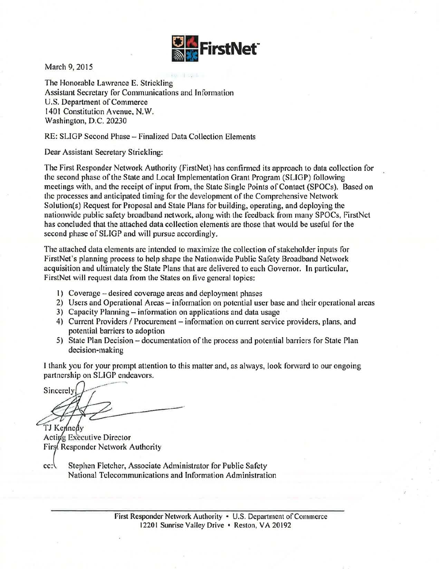

March 9, 2015

The Honorable Lawrence E. Strickling Assistant Secretary for Communications and Information U.S. Department of Commerce 1401 Constitution Avenue, N.W. Washington, D.C. 20230

RE: SLIGP Second Phase- Finalized Data Collection Elements

Dear Assistant Secretary Strickling:

The First Responder Network Authority (FirstNet) has confirmed its approach to data collection for the second phase of the State and Local Implementation Grant Program (SLIGP) following meetings with, and the receipt of input from, the State Single Points of Contact (SPOCs). Based on the processes and anticipated timing for the development of the Comprehensive Network Solution(s) Request for Proposal and State Plans for building, operating, and deploying the nationwide public safety broadband network, along with the feedback from many SPOCs, FirstNet has concluded that the attached data collection elements are those that would be useful for the second phase of SLIGP and will pursue accordingly.

The attached data elements are intended to maximize the collection of stakeholder inputs for FirstNet's planning process to help shape the Nationwide Public Safety Broadband Network acquisition and ultimately the State Plans that are delivered to each Governor. In particular, FirstNet will request data from the States on five general topics:

- 1) Coverage desired coverage areas and deployment phases
- 2) Users and Operational Areas information on potential user base and their operational areas
- 3) Capacity Planning information on applications and data usage
- 4) Current Providers / Procurement information on current service providers, plans, and potential barriers to adoption
- 5) State Plan Decision documentation of the process and potential barriers for State Plan decision-making

I thank you for your prompt attention to this matter and, as always, look forward to our ongoing

partnership on SLIGP endeavors.<br>Sincerely Sincerely

TJ Kennedy Acting Executive Director Firs Responder Network Authority

Stephen Fletcher, Associate Administrator for Public Safety  $cc:$ National Telecommunications and Information Administration